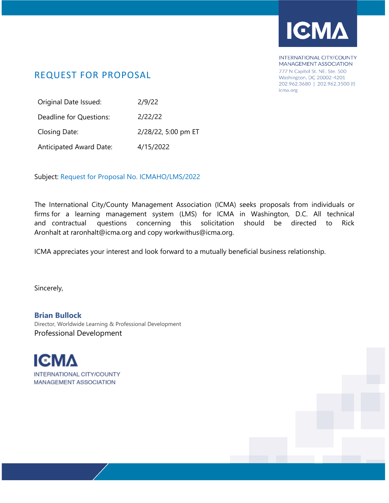

INTERNATIONAL CITY/COUNTY MANAGEMENT ASSOCIATION 777 N Capitol St. NE, Ste. 500 Washington, DC 20002-4201 202.962.3680 | 202.962.3500 (f) icma.org

# REQUEST FOR PROPOSAL

| Original Date Issued:   | 2/9/22              |
|-------------------------|---------------------|
| Deadline for Questions: | 2/22/22             |
| Closing Date:           | 2/28/22, 5:00 pm ET |
| Anticipated Award Date: | 4/15/2022           |

Subject: Request for Proposal No. ICMAHO/LMS/2022

The International City/County Management Association (ICMA) seeks proposals from individuals or firms for a learning management system (LMS) for ICMA in Washington, D.C. All technical and contractual questions concerning this solicitation should be directed to Rick Aronhalt at raronhalt@icma.org and copy workwithus@icma.org.

ICMA appreciates your interest and look forward to a mutually beneficial business relationship.

Sincerely,

**Brian Bullock** Director, Worldwide Learning & Professional Development Professional Development

**IGM INTERNATIONAL CITY/COUNTY MANAGEMENT ASSOCIATION**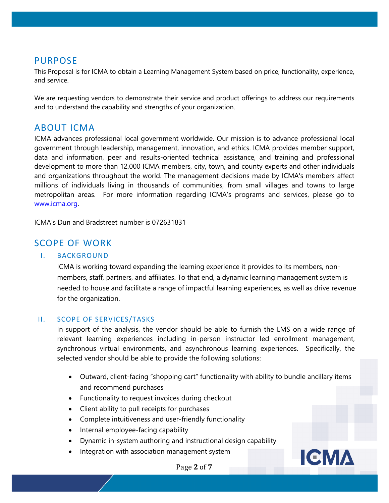## **PURPOSE**

This Proposal is for ICMA to obtain a Learning Management System based on price, functionality, experience, and service.

We are requesting vendors to demonstrate their service and product offerings to address our requirements and to understand the capability and strengths of your organization.

## ABOUT ICMA

ICMA advances professional local government worldwide. Our mission is to advance professional local government through leadership, management, innovation, and ethics. ICMA provides member support, data and information, peer and results-oriented technical assistance, and training and professional development to more than 12,000 ICMA members, city, town, and county experts and other individuals and organizations throughout the world. The management decisions made by ICMA's members affect millions of individuals living in thousands of communities, from small villages and towns to large metropolitan areas. For more information regarding ICMA's programs and services, please go to [www.icma.org.](http://www.icma.org/)

ICMA's Dun and Bradstreet number is 072631831

## SCOPE OF WORK

### I. BACKGROUND

ICMA is working toward expanding the learning experience it provides to its members, nonmembers, staff, partners, and affiliates. To that end, a dynamic learning management system is needed to house and facilitate a range of impactful learning experiences, as well as drive revenue for the organization.

### II. SCOPE OF SERVICES/TASKS

In support of the analysis, the vendor should be able to furnish the LMS on a wide range of relevant learning experiences including in-person instructor led enrollment management, synchronous virtual environments, and asynchronous learning experiences. Specifically, the selected vendor should be able to provide the following solutions:

- Outward, client-facing "shopping cart" functionality with ability to bundle ancillary items and recommend purchases
- Functionality to request invoices during checkout
- Client ability to pull receipts for purchases
- Complete intuitiveness and user-friendly functionality
- Internal employee-facing capability
- Dynamic in-system authoring and instructional design capability
- Integration with association management system



Page **2** of **7**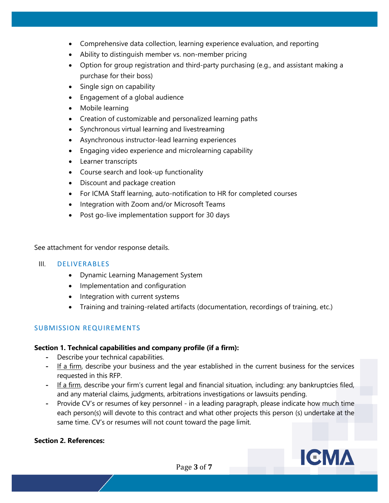- Comprehensive data collection, learning experience evaluation, and reporting
- Ability to distinguish member vs. non-member pricing
- Option for group registration and third-party purchasing (e.g., and assistant making a purchase for their boss)
- Single sign on capability
- Engagement of a global audience
- Mobile learning
- Creation of customizable and personalized learning paths
- Synchronous virtual learning and livestreaming
- Asynchronous instructor-lead learning experiences
- Engaging video experience and microlearning capability
- Learner transcripts
- Course search and look-up functionality
- Discount and package creation
- For ICMA Staff learning, auto-notification to HR for completed courses
- Integration with Zoom and/or Microsoft Teams
- Post go-live implementation support for 30 days

See attachment for vendor response details.

#### III. DELIVERABLES

- Dynamic Learning Management System
- Implementation and configuration
- Integration with current systems
- Training and training-related artifacts (documentation, recordings of training, etc.)

### SUBMISSION REQUIREMENTS

### **Section 1. Technical capabilities and company profile (if a firm):**

- **-** Describe your technical capabilities.
- **-** If a firm, describe your business and the year established in the current business for the services requested in this RFP.
- **-** If a firm, describe your firm's current legal and financial situation, including: any bankruptcies filed, and any material claims, judgments, arbitrations investigations or lawsuits pending.
- **-** Provide CV's or resumes of key personnel in a leading paragraph, please indicate how much time each person(s) will devote to this contract and what other projects this person (s) undertake at the same time. CV's or resumes will not count toward the page limit.

### **Section 2. References:**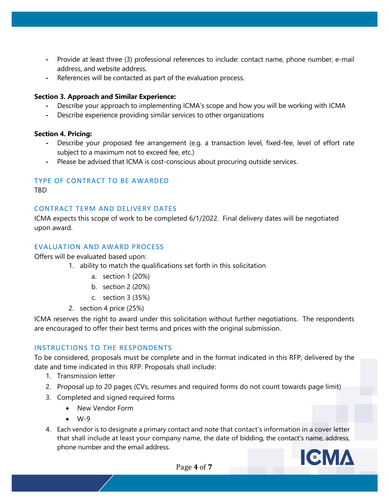- **-** Provide at least three (3) professional references to include: contact name, phone number, e-mail address, and website address.
- **-** References will be contacted as part of the evaluation process.

#### **Section 3. Approach and Similar Experience:**

- **-** Describe your approach to implementing ICMA's scope and how you will be working with ICMA
- **-** Describe experience providing similar services to other organizations

#### **Section 4. Pricing:**

- **-** Describe your proposed fee arrangement (e.g. a transaction level, fixed-fee, level of effort rate subject to a maximum not to exceed fee, etc.)
- **-** Please be advised that ICMA is cost-conscious about procuring outside services.

### TYPE OF CONTRACT TO BE AWARDED

TBD

### CONTRACT TERM AND DELIVERY DATES

ICMA expects this scope of work to be completed 6/1/2022. Final delivery dates will be negotiated upon award.

#### EVALUATION AND AWARD PROCESS

Offers will be evaluated based upon:

- 1. ability to match the qualifications set forth in this solicitation
	- a. section 1 (20%)
	- b. section 2 (20%)
	- c. section 3 (35%)
- 2. section 4 price (25%)

ICMA reserves the right to award under this solicitation without further negotiations. The respondents are encouraged to offer their best terms and prices with the original submission.

### INSTRUCTIONS TO THE RESPONDENTS

To be considered, proposals must be complete and in the format indicated in this RFP, delivered by the date and time indicated in this RFP. Proposals shall include:

- 1. Transmission letter
- 2. Proposal up to 20 pages (CVs, resumes and required forms do not count towards page limit)
- 3. Completed and signed required forms
	- New Vendor Form
	- W-9
- 4. Each vendor is to designate a primary contact and note that contact's information in a cover letter that shall include at least your company name, the date of bidding, the contact's name, address, phone number and the email address.



Page **4** of **7**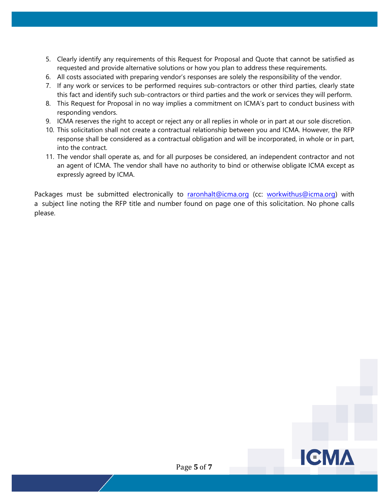- 5. Clearly identify any requirements of this Request for Proposal and Quote that cannot be satisfied as requested and provide alternative solutions or how you plan to address these requirements.
- 6. All costs associated with preparing vendor's responses are solely the responsibility of the vendor.
- 7. If any work or services to be performed requires sub-contractors or other third parties, clearly state this fact and identify such sub-contractors or third parties and the work or services they will perform.
- 8. This Request for Proposal in no way implies a commitment on ICMA's part to conduct business with responding vendors.
- 9. ICMA reserves the right to accept or reject any or all replies in whole or in part at our sole discretion.
- 10. This solicitation shall not create a contractual relationship between you and ICMA. However, the RFP response shall be considered as a contractual obligation and will be incorporated, in whole or in part, into the contract.
- 11. The vendor shall operate as, and for all purposes be considered, an independent contractor and not an agent of ICMA. The vendor shall have no authority to bind or otherwise obligate ICMA except as expressly agreed by ICMA.

Packages must be submitted electronically to raronhalt@icma.org (cc: [workwithus@icma.org\)](mailto:workwithus@icma.org?subject=ICMA%20LMS%20RFP) with a subject line noting the RFP title and number found on page one of this solicitation. No phone calls please.

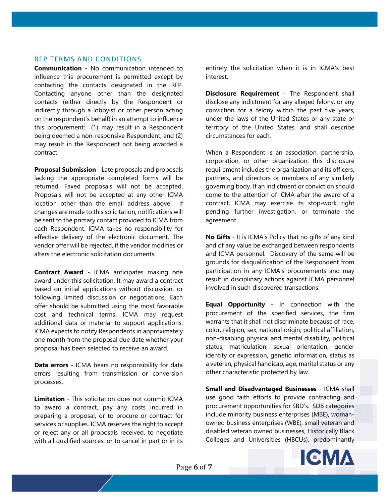#### RFP TERMS AND CONDITIONS

**Communication** - No communication intended to influence this procurement is permitted except by contacting the contacts designated in the RFP. Contacting anyone other than the designated contacts (either directly by the Respondent or indirectly through a lobbyist or other person acting on the respondent's behalf) in an attempt to influence this procurement: (1) may result in a Respondent being deemed a non-responsive Respondent, and (2) may result in the Respondent not being awarded a contract.

**Proposal Submission** - Late proposals and proposals lacking the appropriate completed forms will be returned. Faxed proposals will not be accepted. Proposals will not be accepted at any other ICMA location other than the email address above. If changes are made to this solicitation, notifications will be sent to the primary contact provided to ICMA from each Respondent. ICMA takes no responsibility for effective delivery of the electronic document. The vendor offer will be rejected, if the vendor modifies or alters the electronic solicitation documents.

**Contract Award** - ICMA anticipates making one award under this solicitation. It may award a contract based on initial applications without discussion, or following limited discussion or negotiations. Each offer should be submitted using the most favorable cost and technical terms. ICMA may request additional data or material to support applications. ICMA expects to notify Respondents in approximately one month from the proposal due date whether your proposal has been selected to receive an award.

**Data errors** - ICMA bears no responsibility for data errors resulting from transmission or conversion processes.

**Limitation** - This solicitation does not commit ICMA to award a contract, pay any costs incurred in preparing a proposal, or to procure or contract for services or supplies. ICMA reserves the right to accept or reject any or all proposals received, to negotiate with all qualified sources, or to cancel in part or in its

entirety the solicitation when it is in ICMA's best interest.

**Disclosure Requirement** - The Respondent shall disclose any indictment for any alleged felony, or any conviction for a felony within the past five years, under the laws of the United States or any state or territory of the United States, and shall describe circumstances for each.

When a Respondent is an association, partnership, corporation, or other organization, this disclosure requirement includes the organization and its officers, partners, and directors or members of any similarly governing body. If an indictment or conviction should come to the attention of ICMA after the award of a contract, ICMA may exercise its stop-work right pending further investigation, or terminate the agreement.

**No Gifts** - It is ICMA's Policy that no gifts of any kind and of any value be exchanged between respondents and ICMA personnel. Discovery of the same will be grounds for disqualification of the Respondent from participation in any ICMA's procurements and may result in disciplinary actions against ICMA personnel involved in such discovered transactions.

**Equal Opportunity** - In connection with the procurement of the specified services, the firm warrants that it shall not discriminate because of race, color, religion, sex, national origin, political affiliation, non-disabling physical and mental disability, political status, matriculation, sexual orientation, gender identity or expression, genetic information, status as a veteran, physical handicap, age, marital status or any other characteristic protected by law.

**Small and Disadvantaged Businesses** - ICMA shall use good faith efforts to provide contracting and procurement opportunities for SBD's. SDB categories include minority business enterprises (MBE), womanowned business enterprises (WBE), small veteran and disabled veteran owned businesses, Historically Black Colleges and Universities (HBCUs), predominantly